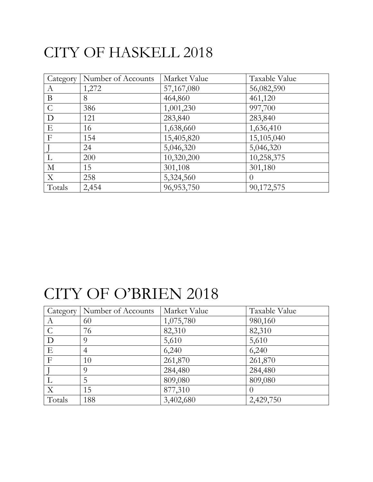#### CITY OF HASKELL 2018

| Category         | Number of Accounts | Market Value | Taxable Value |
|------------------|--------------------|--------------|---------------|
| $\boldsymbol{A}$ | 1,272              | 57,167,080   | 56,082,590    |
| B                | 8                  | 464,860      | 461,120       |
| $\mathcal{C}$    | 386                | 1,001,230    | 997,700       |
| D                | 121                | 283,840      | 283,840       |
| E                | 16                 | 1,638,660    | 1,636,410     |
| $\mathbf{F}$     | 154                | 15,405,820   | 15,105,040    |
|                  | 24                 | 5,046,320    | 5,046,320     |
|                  | 200                | 10,320,200   | 10,258,375    |
| $\mathbf{M}$     | 15                 | 301,108      | 301,180       |
| X                | 258                | 5,324,560    | $\Omega$      |
| Totals           | 2,454              | 96, 953, 750 | 90,172,575    |

#### CITY OF O'BRIEN 2018

| Category      | Number of Accounts | Market Value | Taxable Value |
|---------------|--------------------|--------------|---------------|
| А             | 60                 | 1,075,780    | 980,160       |
| $\mathcal{C}$ | 76                 | 82,310       | 82,310        |
| D             | 9                  | 5,610        | 5,610         |
| Ε             | 4                  | 6,240        | 6,240         |
| $\mathbf{F}$  | 10                 | 261,870      | 261,870       |
|               | Q                  | 284,480      | 284,480       |
|               | 5                  | 809,080      | 809,080       |
| $\mathbf{X}$  | 15                 | 877,310      | $\theta$      |
| Totals        | 188                | 3,402,680    | 2,429,750     |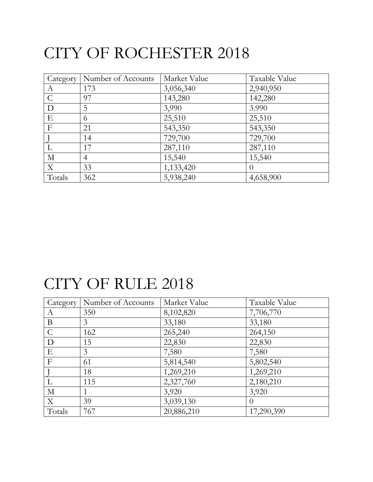# CITY OF ROCHESTER 2018

| Category <sup>1</sup> | Number of Accounts | Market Value | Taxable Value    |
|-----------------------|--------------------|--------------|------------------|
| A                     | 173                | 3,056,340    | 2,940,950        |
| $\mathcal{C}$         | 97                 | 143,280      | 142,280          |
| D                     | 5                  | 3,990        | 3.990            |
| E                     | 6                  | 25,510       | 25,510           |
| $\mathbf{F}$          | 21                 | 543,350      | 543,350          |
|                       | 14                 | 729,700      | 729,700          |
|                       | 17                 | 287,110      | 287,110          |
| $\mathbf{M}$          | $\overline{4}$     | 15,540       | 15,540           |
| $\mathbf X$           | 33                 | 1,133,420    | $\left( \right)$ |
| Totals                | 362                | 5,938,240    | 4,658,900        |

# CITY OF RULE 2018

| Category      | Number of Accounts | Market Value | Taxable Value |
|---------------|--------------------|--------------|---------------|
| A             | 350                | 8,102,820    | 7,706,770     |
| B             | 3                  | 33,180       | 33,180        |
| $\mathcal{C}$ | 162                | 265,240      | 264,150       |
| D             | 15                 | 22,830       | 22,830        |
| Ε             | 3                  | 7,580        | 7,580         |
| $\mathbf{F}$  | 61                 | 5,814,540    | 5,802,540     |
|               | 18                 | 1,269,210    | 1,269,210     |
|               | 115                | 2,327,760    | 2,180,210     |
| $\mathbf{M}$  |                    | 3,920        | 3,920         |
| X             | 39                 | 3,039,130    | $\Omega$      |
| Totals        | 767                | 20,886,210   | 17,290,390    |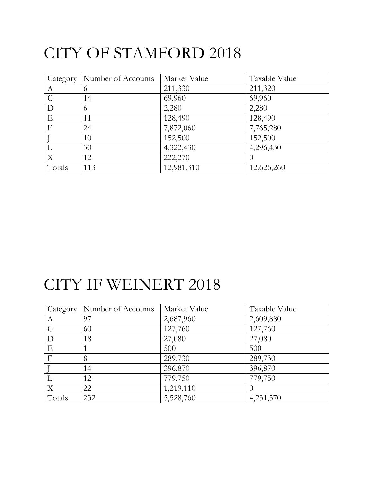# CITY OF STAMFORD 2018

| Category         | Number of Accounts | Market Value | Taxable Value    |
|------------------|--------------------|--------------|------------------|
| $\boldsymbol{A}$ | $\Omega$           | 211,330      | 211,320          |
| $\mathcal{C}$    | 14                 | 69,960       | 69,960           |
| D                | 6                  | 2,280        | 2,280            |
| E                | 11                 | 128,490      | 128,490          |
| $\mathbf F$      | 24                 | 7,872,060    | 7,765,280        |
|                  | 10                 | 152,500      | 152,500          |
|                  | 30                 | 4,322,430    | 4,296,430        |
| $\mathbf X$      | 12                 | 222,270      | $\left( \right)$ |
| Totals           | 113                | 12,981,310   | 12,626,260       |

### CITY IF WEINERT 2018

| Category      | Number of Accounts | Market Value | Taxable Value |
|---------------|--------------------|--------------|---------------|
| A             | 97                 | 2,687,960    | 2,609,880     |
| $\mathcal{C}$ | 60                 | 127,760      | 127,760       |
| D             | 18                 | 27,080       | 27,080        |
| E             |                    | 500          | 500           |
| $\mathbf{F}$  | 8                  | 289,730      | 289,730       |
|               | 14                 | 396,870      | 396,870       |
|               | 12                 | 779,750      | 779,750       |
| X             | 22                 | 1,219,110    | $\theta$      |
| Totals        | 232                | 5,528,760    | 4,231,570     |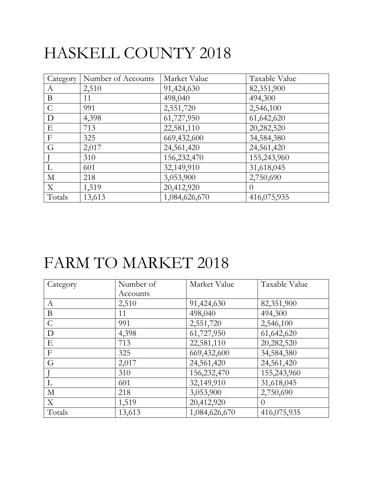# HASKELL COUNTY 2018

| Category         | Number of Accounts | Market Value  | Taxable Value |
|------------------|--------------------|---------------|---------------|
| A                | 2,510              | 91,424,630    | 82,351,900    |
| B                | 11                 | 498,040       | 494,300       |
| $\mathcal{C}$    | 991                | 2,551,720     | 2,546,100     |
| D                | 4,398              | 61,727,950    | 61,642,620    |
| E                | 713                | 22,581,110    | 20,282,520    |
| $\boldsymbol{F}$ | 325                | 669,432,600   | 34,584,380    |
| G                | 2,017              | 24,561,420    | 24,561,420    |
|                  | 310                | 156,232,470   | 155,243,960   |
| L                | 601                | 32,149,910    | 31,618,045    |
| $\mathbf{M}$     | 218                | 3,053,900     | 2,750,690     |
| X                | 1,519              | 20,412,920    | $\Omega$      |
| Totals           | 13,613             | 1,084,626,670 | 416,075,935   |

## FARM TO MARKET 2018

| Category         | Number of | Market Value  | Taxable Value |
|------------------|-----------|---------------|---------------|
|                  | Accounts  |               |               |
| A                | 2,510     | 91,424,630    | 82,351,900    |
| B                | 11        | 498,040       | 494,300       |
| $\mathcal{C}$    | 991       | 2,551,720     | 2,546,100     |
| D                | 4,398     | 61,727,950    | 61,642,620    |
| Ε                | 713       | 22,581,110    | 20,282,520    |
| $\boldsymbol{F}$ | 325       | 669,432,600   | 34,584,380    |
| G                | 2,017     | 24,561,420    | 24,561,420    |
|                  | 310       | 156,232,470   | 155,243,960   |
| L                | 601       | 32,149,910    | 31,618,045    |
| $\mathbf{M}$     | 218       | 3,053,900     | 2,750,690     |
| X                | 1,519     | 20,412,920    | $\theta$      |
| Totals           | 13,613    | 1,084,626,670 | 416,075,935   |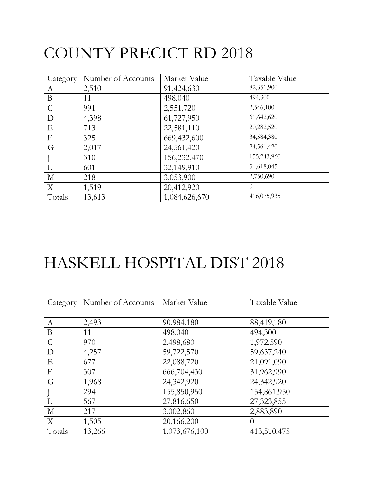# COUNTY PRECICT RD 2018

| Category      | Number of Accounts | Market Value  | Taxable Value |
|---------------|--------------------|---------------|---------------|
| A             | 2,510              | 91,424,630    | 82,351,900    |
| B             | 11                 | 498,040       | 494,300       |
| $\mathcal{C}$ | 991                | 2,551,720     | 2,546,100     |
| D             | 4,398              | 61,727,950    | 61,642,620    |
| E             | 713                | 22,581,110    | 20,282,520    |
| $\mathbf{F}$  | 325                | 669,432,600   | 34,584,380    |
| G             | 2,017              | 24,561,420    | 24,561,420    |
|               | 310                | 156,232,470   | 155,243,960   |
| L             | 601                | 32,149,910    | 31,618,045    |
| $\mathbf{M}$  | 218                | 3,053,900     | 2,750,690     |
| X             | 1,519              | 20,412,920    | $\Omega$      |
| Totals        | 13,613             | 1,084,626,670 | 416,075,935   |

## HASKELL HOSPITAL DIST 2018

| Category                  | Number of Accounts | Market Value  | Taxable Value |
|---------------------------|--------------------|---------------|---------------|
|                           |                    |               |               |
| $\boldsymbol{A}$          | 2,493              | 90,984,180    | 88,419,180    |
| B                         | 11                 | 498,040       | 494,300       |
| $\mathcal{C}$             | 970                | 2,498,680     | 1,972,590     |
| D                         | 4,257              | 59,722,570    | 59,637,240    |
| E                         | 677                | 22,088,720    | 21,091,090    |
| $\boldsymbol{F}$          | 307                | 666,704,430   | 31,962,990    |
| G                         | 1,968              | 24,342,920    | 24,342,920    |
|                           | 294                | 155,850,950   | 154,861,950   |
| L                         | 567                | 27,816,650    | 27,323,855    |
| $\mathbf{M}$              | 217                | 3,002,860     | 2,883,890     |
| $\boldsymbol{\mathrm{X}}$ | 1,505              | 20,166,200    | $\theta$      |
| Totals                    | 13,266             | 1,073,676,100 | 413,510,475   |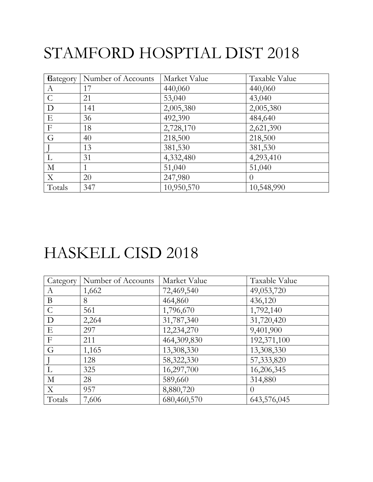# STAMFORD HOSPTIAL DIST 2018

| Bategory         | Number of Accounts | Market Value | Taxable Value |
|------------------|--------------------|--------------|---------------|
| A                | 17                 | 440,060      | 440,060       |
| $\mathcal{C}$    | 21                 | 53,040       | 43,040        |
| D                | 141                | 2,005,380    | 2,005,380     |
| E                | 36                 | 492,390      | 484,640       |
| $\mathbf{F}$     | 18                 | 2,728,170    | 2,621,390     |
| G                | 40                 | 218,500      | 218,500       |
|                  | 13                 | 381,530      | 381,530       |
|                  | 31                 | 4,332,480    | 4,293,410     |
| $\mathbf{M}$     |                    | 51,040       | 51,040        |
| $\boldsymbol{X}$ | 20                 | 247,980      | $\theta$      |
| Totals           | 347                | 10,950,570   | 10,548,990    |

#### HASKELL CISD 2018

| Category         | Number of Accounts | Market Value | Taxable Value |
|------------------|--------------------|--------------|---------------|
| А                | 1,662              | 72,469,540   | 49,053,720    |
| $\bf{B}$         | 8                  | 464,860      | 436,120       |
| $\mathcal{C}$    | 561                | 1,796,670    | 1,792,140     |
| D                | 2,264              | 31,787,340   | 31,720,420    |
| E                | 297                | 12,234,270   | 9,401,900     |
| $\boldsymbol{F}$ | 211                | 464,309,830  | 192,371,100   |
| G                | 1,165              | 13,308,330   | 13,308,330    |
|                  | 128                | 58,322,330   | 57,333,820    |
|                  | 325                | 16,297,700   | 16,206,345    |
| $\mathbf M$      | 28                 | 589,660      | 314,880       |
| X                | 957                | 8,880,720    | $\left($      |
| Totals           | 7,606              | 680,460,570  | 643,576,045   |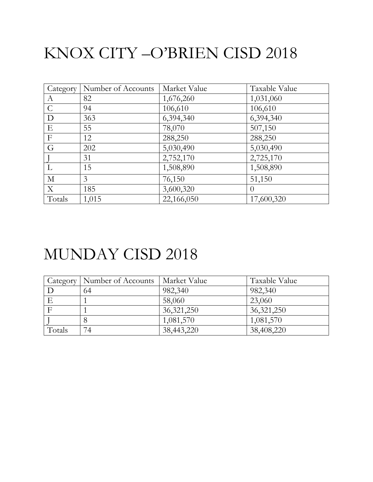# KNOX CITY –O'BRIEN CISD 2018

| Category         | Number of Accounts | Market Value | Taxable Value    |
|------------------|--------------------|--------------|------------------|
| $\boldsymbol{A}$ | 82                 | 1,676,260    | 1,031,060        |
| $\mathcal{C}$    | 94                 | 106,610      | 106,610          |
| D                | 363                | 6,394,340    | 6,394,340        |
| E                | 55                 | 78,070       | 507,150          |
| F                | 12                 | 288,250      | 288,250          |
| G                | 202                | 5,030,490    | 5,030,490        |
|                  | 31                 | 2,752,170    | 2,725,170        |
| L                | 15                 | 1,508,890    | 1,508,890        |
| $\mathbf{M}$     | 3                  | 76,150       | 51,150           |
| X                | 185                | 3,600,320    | $\left( \right)$ |
| Totals           | 1,015              | 22,166,050   | 17,600,320       |

#### MUNDAY CISD 2018

| Category | Number of Accounts | Market Value | Taxable Value |
|----------|--------------------|--------------|---------------|
|          | 64                 | 982,340      | 982,340       |
|          |                    | 58,060       | 23,060        |
|          |                    | 36, 321, 250 | 36, 321, 250  |
|          |                    | 1,081,570    | 1,081,570     |
| Totals   | 74                 | 38,443,220   | 38,408,220    |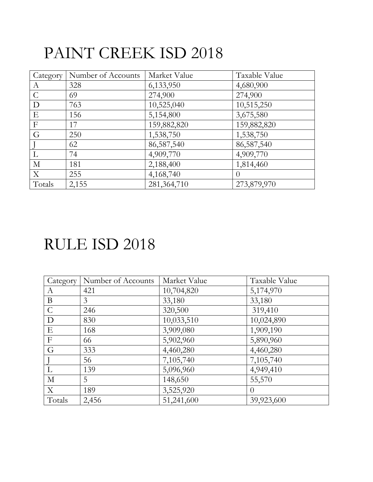## PAINT CREEK ISD 2018

| Category         | Number of Accounts | Market Value | Taxable Value |
|------------------|--------------------|--------------|---------------|
| $\boldsymbol{A}$ | 328                | 6,133,950    | 4,680,900     |
| $\mathsf{C}$     | 69                 | 274,900      | 274,900       |
| D                | 763                | 10,525,040   | 10,515,250    |
| E                | 156                | 5,154,800    | 3,675,580     |
| $\boldsymbol{F}$ | 17                 | 159,882,820  | 159,882,820   |
| G                | 250                | 1,538,750    | 1,538,750     |
|                  | 62                 | 86,587,540   | 86,587,540    |
|                  | 74                 | 4,909,770    | 4,909,770     |
| $\mathbf M$      | 181                | 2,188,400    | 1,814,460     |
| X                | 255                | 4,168,740    | $\theta$      |
| Totals           | 2,155              | 281,364,710  | 273,879,970   |

#### RULE ISD 2018

| Category       | Number of Accounts | Market Value | Taxable Value |
|----------------|--------------------|--------------|---------------|
| A              | 421                | 10,704,820   | 5,174,970     |
| B              | 3                  | 33,180       | 33,180        |
| $\mathcal{C}$  | 246                | 320,500      | 319,410       |
| D              | 830                | 10,033,510   | 10,024,890    |
| E              | 168                | 3,909,080    | 1,909,190     |
| $\overline{F}$ | 66                 | 5,902,960    | 5,890,960     |
| G              | 333                | 4,460,280    | 4,460,280     |
|                | 56                 | 7,105,740    | 7,105,740     |
| L              | 139                | 5,096,960    | 4,949,410     |
| М              | 5                  | 148,650      | 55,570        |
| X              | 189                | 3,525,920    | $\left($      |
| Totals         | 2,456              | 51,241,600   | 39,923,600    |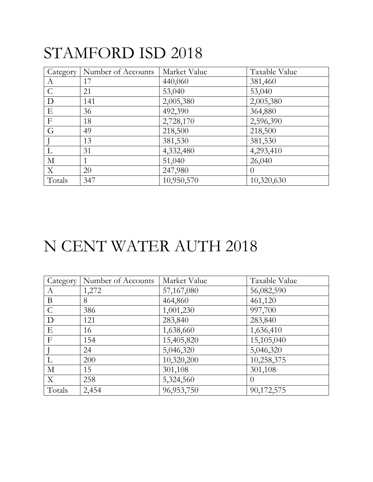### STAMFORD ISD 2018

| Category      | Number of Accounts | Market Value | Taxable Value |
|---------------|--------------------|--------------|---------------|
| A             | 17                 | 440,060      | 381,460       |
| $\mathcal{C}$ | 21                 | 53,040       | 53,040        |
| D             | 141                | 2,005,380    | 2,005,380     |
| E             | 36                 | 492,390      | 364,880       |
| $\mathbf{F}$  | 18                 | 2,728,170    | 2,596,390     |
| G             | 49                 | 218,500      | 218,500       |
|               | 13                 | 381,530      | 381,530       |
| L             | 31                 | 4,332,480    | 4,293,410     |
| $\mathbf{M}$  | 1                  | 51,040       | 26,040        |
| $\mathbf{X}$  | 20                 | 247,980      | $\Omega$      |
| Totals        | 347                | 10,950,570   | 10,320,630    |

### N CENT WATER AUTH 2018

| Category      | Number of Accounts | Market Value | Taxable Value |
|---------------|--------------------|--------------|---------------|
| A             | 1,272              | 57,167,080   | 56,082,590    |
| B             | 8                  | 464,860      | 461,120       |
| $\mathcal{C}$ | 386                | 1,001,230    | 997,700       |
| D             | 121                | 283,840      | 283,840       |
| Ε             | 16                 | 1,638,660    | 1,636,410     |
| F             | 154                | 15,405,820   | 15,105,040    |
|               | 24                 | 5,046,320    | 5,046,320     |
|               | 200                | 10,320,200   | 10,258,375    |
| М             | 15                 | 301,108      | 301,108       |
| X             | 258                | 5,324,560    | $\theta$      |
| Totals        | 2,454              | 96,953,750   | 90,172,575    |